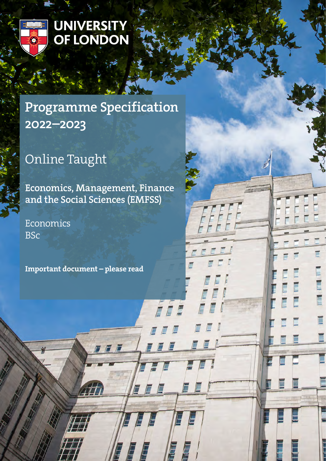

# UNIVERSITY<br>OF LONDON

# Programme Specification 2022–2023

# Online Taught

Economics, Management, Finance and the Social Sciences (EMFSS)

7 F F

F

E

E

É

Ē

Economics BSc

Important document – please read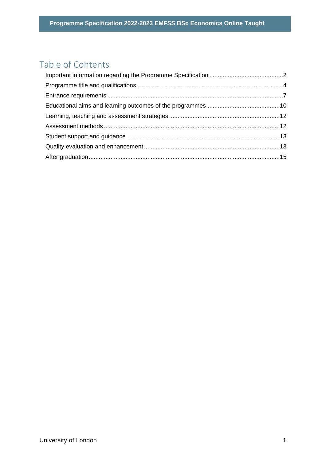# Table of Contents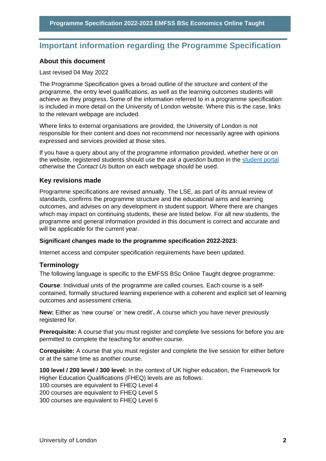# <span id="page-2-0"></span>**Important information regarding the Programme Specification**

#### **About this document**

#### Last revised 04 May 2022

The Programme Specification gives a broad outline of the structure and content of the programme, the entry level qualifications, as well as the learning outcomes students will achieve as they progress. Some of the information referred to in a programme specification is included in more detail on the University of London website. Where this is the case, links to the relevant webpage are included.

Where links to external organisations are provided, the University of London is not responsible for their content and does not recommend nor necessarily agree with opinions expressed and services provided at those sites.

If you have a query about any of the programme information provided, whether here or on the website, registered students should use the *ask a question* button in the [student portal](https://my.london.ac.uk/) otherwise the *Contact Us* button on each webpage should be used.

#### **Key revisions made**

Programme specifications are revised annually. The LSE, as part of its annual review of standards, confirms the programme structure and the educational aims and learning outcomes, and advises on any development in student support. Where there are changes which may impact on continuing students, these are listed below. For all new students, the programme and general information provided in this document is correct and accurate and will be applicable for the current year.

#### **Significant changes made to the programme specification 2022-2023:**

Internet access and computer specification requirements have been updated.

#### **Terminology**

The following language is specific to the EMFSS BSc Online Taught degree programme:

**Course**: Individual units of the programme are called courses. Each course is a selfcontained, formally structured learning experience with a coherent and explicit set of learning outcomes and assessment criteria.

**New:** Either as 'new course' or 'new credit'**.** A course which you have never previously registered for.

**Prerequisite:** A course that you must register and complete live sessions for before you are permitted to complete the teaching for another course.

**Corequisite:** A course that you must register and complete the live session for either before or at the same time as another course.

**100 level / 200 level / 300 level:** In the context of UK higher education, the Framework for Higher Education Qualifications (FHEQ) levels are as follows:

100 courses are equivalent to FHEQ Level 4

200 courses are equivalent to FHEQ Level 5

300 courses are equivalent to FHEQ Level 6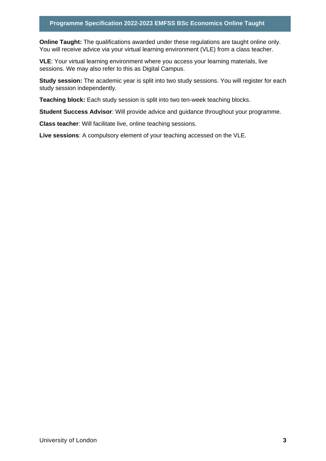#### **Programme Specification 2022-2023 EMFSS BSc Economics Online Taught**

**Online Taught:** The qualifications awarded under these regulations are taught online only. You will receive advice via your virtual learning environment (VLE) from a class teacher.

**VLE**: Your virtual learning environment where you access your learning materials, live sessions. We may also refer to this as Digital Campus.

**Study session:** The academic year is split into two study sessions. You will register for each study session independently.

**Teaching block:** Each study session is split into two ten-week teaching blocks.

**Student Success Advisor**: Will provide advice and guidance throughout your programme.

**Class teacher**: Will facilitate live, online teaching sessions.

**Live sessions**: A compulsory element of your teaching accessed on the VLE.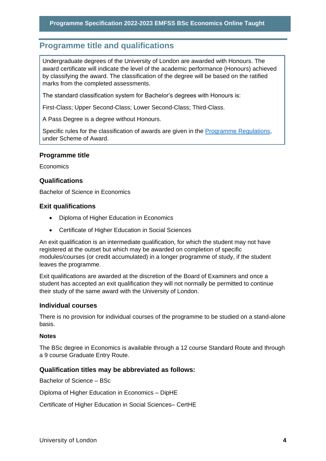# <span id="page-4-0"></span>**Programme title and qualifications**

Undergraduate degrees of the University of London are awarded with Honours. The award certificate will indicate the level of the academic performance (Honours) achieved by classifying the award. The classification of the degree will be based on the ratified marks from the completed assessments.

The standard classification system for Bachelor's degrees with Honours is:

First-Class; Upper Second-Class; Lower Second-Class; Third-Class.

A Pass Degree is a degree without Honours.

Specific rules for the classification of awards are given in the [Programme Regulations,](https://london.ac.uk/current-students/programme-documents/regulations) under Scheme of Award.

#### **Programme title**

**Economics** 

#### **Qualifications**

Bachelor of Science in Economics

#### **Exit qualifications**

- Diploma of Higher Education in Economics
- Certificate of Higher Education in Social Sciences

An exit qualification is an intermediate qualification, for which the student may not have registered at the outset but which may be awarded on completion of specific modules/courses (or credit accumulated) in a longer programme of study, if the student leaves the programme.

Exit qualifications are awarded at the discretion of the Board of Examiners and once a student has accepted an exit qualification they will not normally be permitted to continue their study of the same award with the University of London.

#### **Individual courses**

There is no provision for individual courses of the programme to be studied on a stand-alone basis.

#### **Notes**

The BSc degree in Economics is available through a 12 course Standard Route and through a 9 course Graduate Entry Route.

#### **Qualification titles may be abbreviated as follows:**

Bachelor of Science – BSc

Diploma of Higher Education in Economics – DipHE

Certificate of Higher Education in Social Sciences– CertHE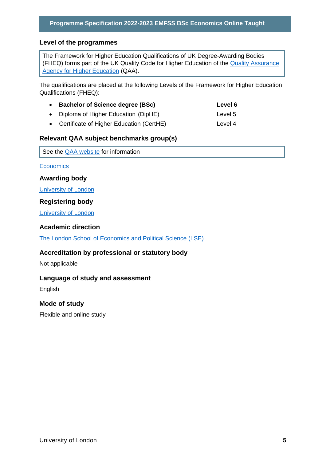#### **Level of the programmes**

The Framework for Higher Education Qualifications of UK Degree-Awarding Bodies (FHEQ) forms part of the UK Quality Code for Higher Education of the [Quality Assurance](http://www.qaa.ac.uk/en)  [Agency for Higher Education](http://www.qaa.ac.uk/en) (QAA).

The qualifications are placed at the following Levels of the Framework for Higher Education Qualifications (FHEQ):

| • Bachelor of Science degree (BSc)         | Level 6 |
|--------------------------------------------|---------|
| • Diploma of Higher Education (DipHE)      | Level 5 |
| • Certificate of Higher Education (CertHE) | Level 4 |

#### **Relevant QAA subject benchmarks group(s)**

See the **QAA** website for information

**[Economics](https://www.qaa.ac.uk/docs/qaa/subject-benchmark-statements/subject-benchmark-statement-economics.pdf?sfvrsn=31e2cb81_5)** 

**Awarding body**

[University of London](http://www.london.ac.uk/)

#### **Registering body**

[University of London](http://www.london.ac.uk/)

#### **Academic direction**

[The London School of Economics and Political Science \(LSE\)](http://www.lse.ac.uk/home.aspx) 

#### **Accreditation by professional or statutory body**

Not applicable

#### **Language of study and assessment**

English

#### **Mode of study**

Flexible and online study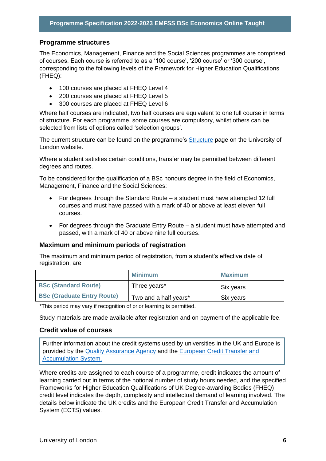#### **Programme structures**

The Economics, Management, Finance and the Social Sciences programmes are comprised of courses. Each course is referred to as a '100 course', '200 course' or '300 course', corresponding to the following levels of the Framework for Higher Education Qualifications (FHEQ):

- 100 courses are placed at FHEQ Level 4
- 200 courses are placed at FHEQ Level 5
- 300 courses are placed at FHEQ Level 6

Where half courses are indicated, two half courses are equivalent to one full course in terms of structure. For each programme, some courses are compulsory, whilst others can be selected from lists of options called 'selection groups'.

The current structure can be found on the programme's **Structure** page on the University of London website.

Where a student satisfies certain conditions, transfer may be permitted between different degrees and routes.

To be considered for the qualification of a BSc honours degree in the field of Economics, Management, Finance and the Social Sciences:

- For degrees through the Standard Route a student must have attempted 12 full courses and must have passed with a mark of 40 or above at least eleven full courses.
- For degrees through the Graduate Entry Route a student must have attempted and passed, with a mark of 40 or above nine full courses.

#### **Maximum and minimum periods of registration**

The maximum and minimum period of registration, from a student's effective date of registration, are:

|                                   | Minimum               | <b>Maximum</b> |
|-----------------------------------|-----------------------|----------------|
| <b>BSc (Standard Route)</b>       | Three years*          | Six years      |
| <b>BSc (Graduate Entry Route)</b> | Two and a half years* | Six years      |

\*This period may vary if recognition of prior learning is permitted.

Study materials are made available after registration and on payment of the applicable fee.

#### **Credit value of courses**

Further information about the credit systems used by universities in the UK and Europe is provided by the [Quality Assurance Agency](http://www.qaa.ac.uk/en) and the [European Credit Transfer and](http://ec.europa.eu/education/resources/european-credit-transfer-accumulation-system_en.htm)  [Accumulation System.](http://ec.europa.eu/education/resources/european-credit-transfer-accumulation-system_en.htm)

Where credits are assigned to each course of a programme, credit indicates the amount of learning carried out in terms of the notional number of study hours needed, and the specified Frameworks for Higher Education Qualifications of UK Degree-awarding Bodies (FHEQ) credit level indicates the depth, complexity and intellectual demand of learning involved. The details below indicate the UK credits and the European Credit Transfer and Accumulation System (ECTS) values.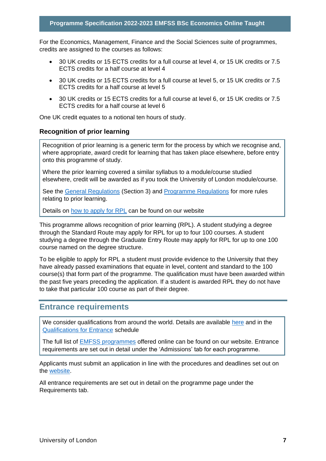For the Economics, Management, Finance and the Social Sciences suite of programmes, credits are assigned to the courses as follows:

- 30 UK credits or 15 ECTS credits for a full course at level 4, or 15 UK credits or 7.5 ECTS credits for a half course at level 4
- 30 UK credits or 15 ECTS credits for a full course at level 5, or 15 UK credits or 7.5 ECTS credits for a half course at level 5
- 30 UK credits or 15 ECTS credits for a full course at level 6, or 15 UK credits or 7.5 ECTS credits for a half course at level 6

One UK credit equates to a notional ten hours of study.

#### **Recognition of prior learning**

Recognition of prior learning is a generic term for the process by which we recognise and, where appropriate, award credit for learning that has taken place elsewhere, before entry onto this programme of study.

Where the prior learning covered a similar syllabus to a module/course studied elsewhere, credit will be awarded as if you took the University of London module/course.

See the [General Regulations](https://london.ac.uk/current-students/programme-documents/regulations) (Section 3) and [Programme Regulations](https://london.ac.uk/current-studentsprogramme-documents/regulations) for more rules relating to prior learning.

Details on [how to apply for RPL](https://london.ac.uk/applications/how-apply/recognition-prior-learning/recognition-and-accreditation-prior-learning-0) can be found on our website

This programme allows recognition of prior learning (RPL). A student studying a degree through the Standard Route may apply for RPL for up to four 100 courses. A student studying a degree through the Graduate Entry Route may apply for RPL for up to one 100 course named on the degree structure.

To be eligible to apply for RPL a student must provide evidence to the University that they have already passed examinations that equate in level, content and standard to the 100 course(s) that form part of the programme. The qualification must have been awarded within the past five years preceding the application. If a student is awarded RPL they do not have to take that particular 100 course as part of their degree.

## <span id="page-7-0"></span>**Entrance requirements**

We consider qualifications from around the world. Details are available [here](https://london.ac.uk/applications/how-apply/am-i-qualified) and in the [Qualifications for Entrance](https://london.ac.uk/entrance-qualifications) schedule

The full list of [EMFSS programmes](https://onlinecourses.london.ac.uk/) offered online can be found on our website. Entrance requirements are set out in detail under the 'Admissions' tab for each programme.

Applicants must submit an application in line with the procedures and deadlines set out on the [website.](https://onlinecourses.london.ac.uk/admissions/)

All entrance requirements are set out in detail on the programme page under the Requirements tab.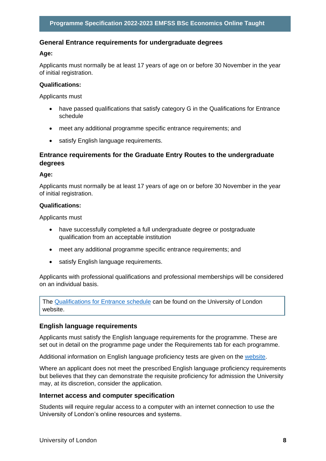#### **General Entrance requirements for undergraduate degrees**

#### **Age:**

Applicants must normally be at least 17 years of age on or before 30 November in the year of initial registration.

#### **Qualifications:**

Applicants must

- have passed qualifications that satisfy category G in the Qualifications for Entrance schedule
- meet any additional programme specific entrance requirements; and
- satisfy English language requirements.

#### **Entrance requirements for the Graduate Entry Routes to the undergraduate degrees**

#### **Age:**

Applicants must normally be at least 17 years of age on or before 30 November in the year of initial registration.

#### **Qualifications:**

Applicants must

- have successfully completed a full undergraduate degree or postgraduate qualification from an acceptable institution
- meet any additional programme specific entrance requirements; and
- satisfy English language requirements.

Applicants with professional qualifications and professional memberships will be considered on an individual basis.

The [Qualifications for Entrance schedule](https://london.ac.uk/entrance-qualifications) can be found on the University of London website.

#### **English language requirements**

Applicants must satisfy the English language requirements for the programme. These are set out in detail on the programme page under the Requirements tab for each programme.

Additional information on English language proficiency tests are given on the [website.](https://london.ac.uk/applications/how-apply/english-requirements)

Where an applicant does not meet the prescribed English language proficiency requirements but believes that they can demonstrate the requisite proficiency for admission the University may, at its discretion, consider the application.

#### **Internet access and computer specification**

Students will require regular access to a computer with an internet connection to use the University of London's online resources and systems.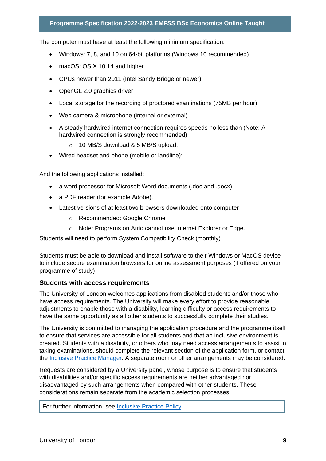The computer must have at least the following minimum specification:

- Windows: 7, 8, and 10 on 64-bit platforms (Windows 10 recommended)
- macOS: OS X 10.14 and higher
- CPUs newer than 2011 (Intel Sandy Bridge or newer)
- OpenGL 2.0 graphics driver
- Local storage for the recording of proctored examinations (75MB per hour)
- Web camera & microphone (internal or external)
- A steady hardwired internet connection requires speeds no less than (Note: A hardwired connection is strongly recommended):
	- o 10 MB/S download & 5 MB/S upload;
- Wired headset and phone (mobile or landline);

And the following applications installed:

- a word processor for Microsoft Word documents (.doc and .docx);
- a PDF reader (for example Adobe).
- Latest versions of at least two browsers downloaded onto computer
	- o Recommended: Google Chrome
	- o Note: Programs on Atrio cannot use Internet Explorer or Edge.

Students will need to perform System Compatibility Check (monthly)

Students must be able to download and install software to their Windows or MacOS device to include secure examination browsers for online assessment purposes (if offered on your programme of study)

#### **Students with access requirements**

The University of London welcomes applications from disabled students and/or those who have access requirements. The University will make every effort to provide reasonable adjustments to enable those with a disability, learning difficulty or access requirements to have the same opportunity as all other students to successfully complete their studies.

The University is committed to managing the application procedure and the programme itself to ensure that services are accessible for all students and that an inclusive environment is created. Students with a disability, or others who may need access arrangements to assist in taking examinations, should complete the relevant section of the application form, or contact the [Inclusive Practice Manager.](mailto:special.arrangements@london.ac.uk) A separate room or other arrangements may be considered.

Requests are considered by a University panel, whose purpose is to ensure that students with disabilities and/or specific access requirements are neither advantaged nor disadvantaged by such arrangements when compared with other students. These considerations remain separate from the academic selection processes.

For further information, see [Inclusive Practice Policy](https://london.ac.uk/applications/how-it-works/inclusive-practice-special-arrangements)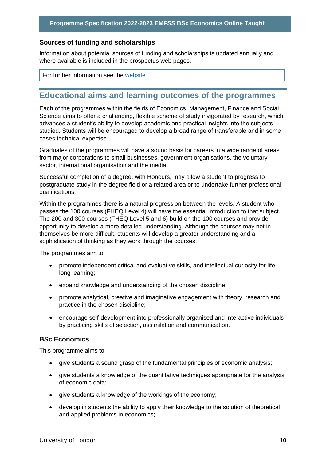#### **Sources of funding and scholarships**

Information about potential sources of funding and scholarships is updated annually and where available is included in the prospectus web pages.

For further information see the [website](https://london.ac.uk/applications/funding-your-study)

# <span id="page-10-0"></span>**Educational aims and learning outcomes of the programmes**

Each of the programmes within the fields of Economics, Management, Finance and Social Science aims to offer a challenging, flexible scheme of study invigorated by research, which advances a student's ability to develop academic and practical insights into the subjects studied. Students will be encouraged to develop a broad range of transferable and in some cases technical expertise.

Graduates of the programmes will have a sound basis for careers in a wide range of areas from major corporations to small businesses, government organisations, the voluntary sector, international organisation and the media.

Successful completion of a degree, with Honours, may allow a student to progress to postgraduate study in the degree field or a related area or to undertake further professional qualifications.

Within the programmes there is a natural progression between the levels. A student who passes the 100 courses (FHEQ Level 4) will have the essential introduction to that subject. The 200 and 300 courses (FHEQ Level 5 and 6) build on the 100 courses and provide opportunity to develop a more detailed understanding. Although the courses may not in themselves be more difficult, students will develop a greater understanding and a sophistication of thinking as they work through the courses.

The programmes aim to:

- promote independent critical and evaluative skills, and intellectual curiosity for lifelong learning;
- expand knowledge and understanding of the chosen discipline;
- promote analytical, creative and imaginative engagement with theory, research and practice in the chosen discipline;
- encourage self-development into professionally organised and interactive individuals by practicing skills of selection, assimilation and communication.

#### **BSc Economics**

This programme aims to:

- give students a sound grasp of the fundamental principles of economic analysis;
- give students a knowledge of the quantitative techniques appropriate for the analysis of economic data;
- give students a knowledge of the workings of the economy;
- develop in students the ability to apply their knowledge to the solution of theoretical and applied problems in economics;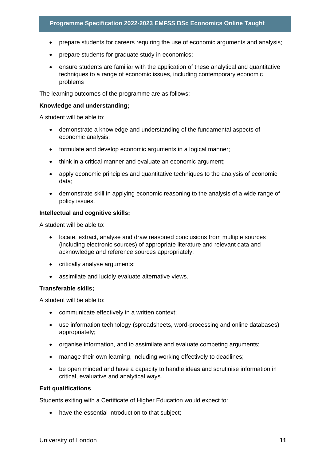- prepare students for careers requiring the use of economic arguments and analysis;
- prepare students for graduate study in economics;
- ensure students are familiar with the application of these analytical and quantitative techniques to a range of economic issues, including contemporary economic problems

The learning outcomes of the programme are as follows:

#### **Knowledge and understanding;**

A student will be able to:

- demonstrate a knowledge and understanding of the fundamental aspects of economic analysis;
- formulate and develop economic arguments in a logical manner;
- think in a critical manner and evaluate an economic argument;
- apply economic principles and quantitative techniques to the analysis of economic data;
- demonstrate skill in applying economic reasoning to the analysis of a wide range of policy issues.

#### **Intellectual and cognitive skills;**

A student will be able to:

- locate, extract, analyse and draw reasoned conclusions from multiple sources (including electronic sources) of appropriate literature and relevant data and acknowledge and reference sources appropriately;
- critically analyse arguments;
- assimilate and lucidly evaluate alternative views.

#### **Transferable skills;**

A student will be able to:

- communicate effectively in a written context;
- use information technology (spreadsheets, word-processing and online databases) appropriately;
- organise information, and to assimilate and evaluate competing arguments;
- manage their own learning, including working effectively to deadlines;
- be open minded and have a capacity to handle ideas and scrutinise information in critical, evaluative and analytical ways.

#### **Exit qualifications**

Students exiting with a Certificate of Higher Education would expect to:

• have the essential introduction to that subject;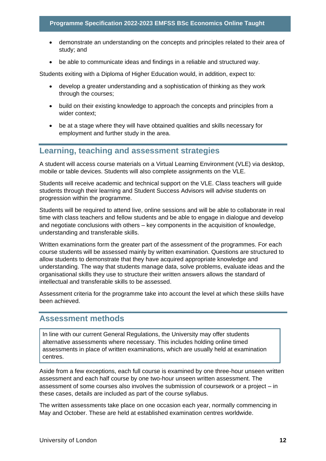- demonstrate an understanding on the concepts and principles related to their area of study; and
- be able to communicate ideas and findings in a reliable and structured way.

Students exiting with a Diploma of Higher Education would, in addition, expect to:

- develop a greater understanding and a sophistication of thinking as they work through the courses;
- build on their existing knowledge to approach the concepts and principles from a wider context;
- be at a stage where they will have obtained qualities and skills necessary for employment and further study in the area.

# <span id="page-12-0"></span>**Learning, teaching and assessment strategies**

A student will access course materials on a Virtual Learning Environment (VLE) via desktop, mobile or table devices. Students will also complete assignments on the VLE.

Students will receive academic and technical support on the VLE. Class teachers will guide students through their learning and Student Success Advisors will advise students on progression within the programme.

Students will be required to attend live, online sessions and will be able to collaborate in real time with class teachers and fellow students and be able to engage in dialogue and develop and negotiate conclusions with others – key components in the acquisition of knowledge, understanding and transferable skills.

Written examinations form the greater part of the assessment of the programmes. For each course students will be assessed mainly by written examination. Questions are structured to allow students to demonstrate that they have acquired appropriate knowledge and understanding. The way that students manage data, solve problems, evaluate ideas and the organisational skills they use to structure their written answers allows the standard of intellectual and transferable skills to be assessed.

Assessment criteria for the programme take into account the level at which these skills have been achieved.

### <span id="page-12-1"></span>**Assessment methods**

In line with our current General Regulations, the University may offer students alternative assessments where necessary. This includes holding online timed assessments in place of written examinations, which are usually held at examination centres.

Aside from a few exceptions, each full course is examined by one three-hour unseen written assessment and each half course by one two-hour unseen written assessment. The assessment of some courses also involves the submission of coursework or a project – in these cases, details are included as part of the course syllabus.

The written assessments take place on one occasion each year, normally commencing in May and October. These are held at established examination centres worldwide.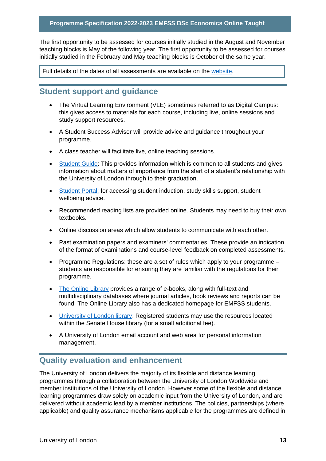The first opportunity to be assessed for courses initially studied in the August and November teaching blocks is May of the following year. The first opportunity to be assessed for courses initially studied in the February and May teaching blocks is October of the same year.

Full details of the dates of all assessments are available on the website.

# <span id="page-13-0"></span>**Student support and guidance**

- The Virtual Learning Environment (VLE) sometimes referred to as Digital Campus: this gives access to materials for each course, including live, online sessions and study support resources.
- A Student Success Advisor will provide advice and guidance throughout your programme.
- A class teacher will facilitate live, online teaching sessions.
- Student Guide: This provides information which is common to all students and gives information about matters of importance from the start of a student's relationship with the University of London through to their graduation.
- Student Portal: for accessing student induction, study skills support, student wellbeing advice.
- Recommended reading lists are provided online. Students may need to buy their own textbooks.
- Online discussion areas which allow students to communicate with each other.
- Past examination papers and examiners' commentaries. These provide an indication of the format of examinations and course-level feedback on completed assessments.
- Programme Regulations: these are a set of rules which apply to your programme students are responsible for ensuring they are familiar with the regulations for their programme.
- The Online Library provides a range of e-books, along with full-text and multidisciplinary databases where journal articles, book reviews and reports can be found. The Online Library also has a dedicated homepage for EMFSS students.
- University of London library: Registered students may use the resources located within the Senate House library (for a small additional fee).
- A University of London email account and web area for personal information management.

# <span id="page-13-1"></span>**Quality evaluation and enhancement**

The University of London delivers the majority of its flexible and distance learning programmes through a collaboration between the University of London Worldwide and member institutions of the University of London. However some of the flexible and distance learning programmes draw solely on academic input from the University of London, and are delivered without academic lead by a member institutions. The policies, partnerships (where applicable) and quality assurance mechanisms applicable for the programmes are defined in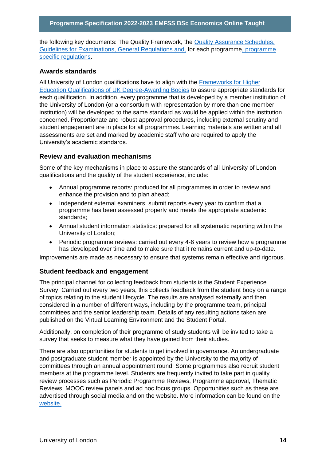the following key documents: The Quality Framework, the Quality Assurance Schedules, Guidelines for Examinations, General Regulations and, for each programme, programme specific regulations.

#### **Awards standards**

All University of London qualifications have to align with the Frameworks for Higher Education Qualifications of UK Degree-Awarding Bodies to assure appropriate standards for each qualification. In addition, every programme that is developed by a member institution of the University of London (or a consortium with representation by more than one member institution) will be developed to the same standard as would be applied within the institution concerned. Proportionate and robust approval procedures, including external scrutiny and student engagement are in place for all programmes. Learning materials are written and all assessments are set and marked by academic staff who are required to apply the University's academic standards.

#### **Review and evaluation mechanisms**

Some of the key mechanisms in place to assure the standards of all University of London qualifications and the quality of the student experience, include:

- Annual programme reports: produced for all programmes in order to review and enhance the provision and to plan ahead;
- Independent external examiners: submit reports every year to confirm that a programme has been assessed properly and meets the appropriate academic standards;
- Annual student information statistics: prepared for all systematic reporting within the University of London;
- Periodic programme reviews: carried out every 4-6 years to review how a programme has developed over time and to make sure that it remains current and up-to-date.

Improvements are made as necessary to ensure that systems remain effective and rigorous.

#### **Student feedback and engagement**

The principal channel for collecting feedback from students is the Student Experience Survey. Carried out every two years, this collects feedback from the student body on a range of topics relating to the student lifecycle. The results are analysed externally and then considered in a number of different ways, including by the programme team, principal committees and the senior leadership team. Details of any resulting actions taken are published on the Virtual Learning Environment and the Student Portal.

Additionally, on completion of their programme of study students will be invited to take a survey that seeks to measure what they have gained from their studies.

There are also opportunities for students to get involved in governance. An undergraduate and postgraduate student member is appointed by the University to the majority of committees through an annual appointment round. Some programmes also recruit student members at the programme level. Students are frequently invited to take part in quality review processes such as Periodic Programme Reviews, Programme approval, Thematic Reviews, MOOC review panels and ad hoc focus groups. Opportunities such as these are advertised through social media and on the website. More information can be found on the website.